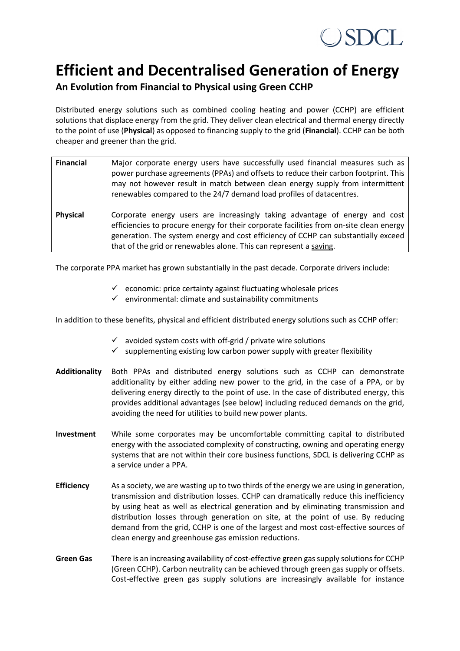

### **An Evolution from Financial to Physical using Green CCHP**

Distributed energy solutions such as combined cooling heating and power (CCHP) are efficient solutions that displace energy from the grid. They deliver clean electrical and thermal energy directly to the point of use (**Physical**) as opposed to financing supply to the grid (**Financial**). CCHP can be both cheaper and greener than the grid.

| <b>Financial</b> | Major corporate energy users have successfully used financial measures such as<br>power purchase agreements (PPAs) and offsets to reduce their carbon footprint. This<br>may not however result in match between clean energy supply from intermittent<br>renewables compared to the 24/7 demand load profiles of datacentres.     |
|------------------|------------------------------------------------------------------------------------------------------------------------------------------------------------------------------------------------------------------------------------------------------------------------------------------------------------------------------------|
| <b>Physical</b>  | Corporate energy users are increasingly taking advantage of energy and cost<br>efficiencies to procure energy for their corporate facilities from on-site clean energy<br>generation. The system energy and cost efficiency of CCHP can substantially exceed<br>that of the grid or renewables alone. This can represent a saving. |

The corporate PPA market has grown substantially in the past decade. Corporate drivers include:

- $\checkmark$  economic: price certainty against fluctuating wholesale prices
- $\checkmark$  environmental: climate and sustainability commitments

In addition to these benefits, physical and efficient distributed energy solutions such as CCHP offer:

- $\checkmark$  avoided system costs with off-grid / private wire solutions
- $\checkmark$  supplementing existing low carbon power supply with greater flexibility
- **Additionality** Both PPAs and distributed energy solutions such as CCHP can demonstrate additionality by either adding new power to the grid, in the case of a PPA, or by delivering energy directly to the point of use. In the case of distributed energy, this provides additional advantages (see below) including reduced demands on the grid, avoiding the need for utilities to build new power plants.
- **Investment** While some corporates may be uncomfortable committing capital to distributed energy with the associated complexity of constructing, owning and operating energy systems that are not within their core business functions, SDCL is delivering CCHP as a service under a PPA.
- **Efficiency** As a society, we are wasting up to two thirds of the energy we are using in generation, transmission and distribution losses. CCHP can dramatically reduce this inefficiency by using heat as well as electrical generation and by eliminating transmission and distribution losses through generation on site, at the point of use. By reducing demand from the grid, CCHP is one of the largest and most cost-effective sources of clean energy and greenhouse gas emission reductions.
- **Green Gas** There is an increasing availability of cost-effective green gas supply solutions for CCHP (Green CCHP). Carbon neutrality can be achieved through green gas supply or offsets. Cost-effective green gas supply solutions are increasingly available for instance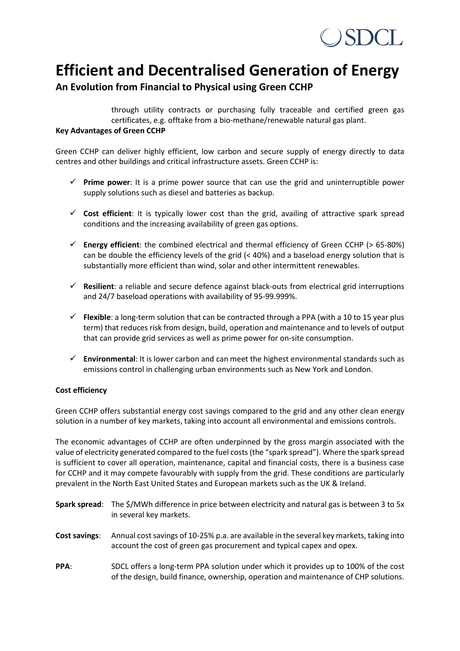### **An Evolution from Financial to Physical using Green CCHP**

through utility contracts or purchasing fully traceable and certified green gas certificates, e.g. offtake from a bio-methane/renewable natural gas plant. **Key Advantages of Green CCHP**

Green CCHP can deliver highly efficient, low carbon and secure supply of energy directly to data centres and other buildings and critical infrastructure assets. Green CCHP is:

- **Prime power**: It is a prime power source that can use the grid and uninterruptible power supply solutions such as diesel and batteries as backup.
- **Cost efficient**: It is typically lower cost than the grid, availing of attractive spark spread conditions and the increasing availability of green gas options.
- **Energy efficient**: the combined electrical and thermal efficiency of Green CCHP (> 65-80%) can be double the efficiency levels of the grid (< 40%) and a baseload energy solution that is substantially more efficient than wind, solar and other intermittent renewables.
- **Resilient**: a reliable and secure defence against black-outs from electrical grid interruptions and 24/7 baseload operations with availability of 95-99.999%.
- $\checkmark$  Flexible: a long-term solution that can be contracted through a PPA (with a 10 to 15 year plus term) that reduces risk from design, build, operation and maintenance and to levels of output that can provide grid services as well as prime power for on-site consumption.
- **Environmental**: It is lower carbon and can meet the highest environmental standards such as emissions control in challenging urban environments such as New York and London.

### **Cost efficiency**

Green CCHP offers substantial energy cost savings compared to the grid and any other clean energy solution in a number of key markets, taking into account all environmental and emissions controls.

The economic advantages of CCHP are often underpinned by the gross margin associated with the value of electricity generated compared to the fuel costs (the "spark spread"). Where the spark spread is sufficient to cover all operation, maintenance, capital and financial costs, there is a business case for CCHP and it may compete favourably with supply from the grid. These conditions are particularly prevalent in the North East United States and European markets such as the UK & Ireland.

| Spark spread: | The \$/MWh difference in price between electricity and natural gas is between 3 to 5x<br>in several key markets.                                                            |
|---------------|-----------------------------------------------------------------------------------------------------------------------------------------------------------------------------|
| Cost savings: | Annual cost savings of 10-25% p.a. are available in the several key markets, taking into<br>account the cost of green gas procurement and typical capex and opex.           |
| PPA:          | SDCL offers a long-term PPA solution under which it provides up to 100% of the cost<br>of the design, build finance, ownership, operation and maintenance of CHP solutions. |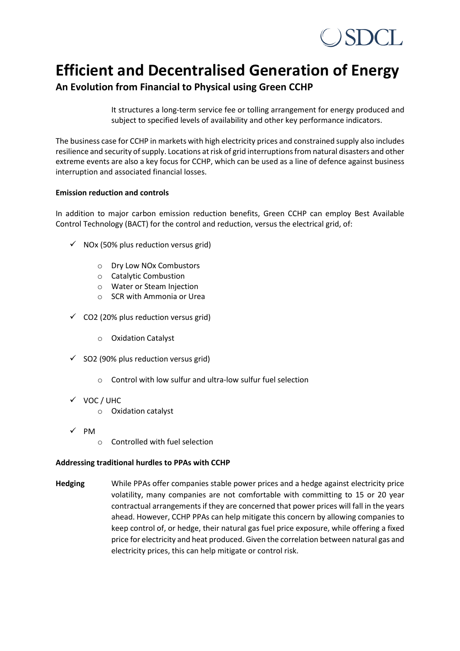

**An Evolution from Financial to Physical using Green CCHP**

It structures a long-term service fee or tolling arrangement for energy produced and subject to specified levels of availability and other key performance indicators.

The business case for CCHP in markets with high electricity prices and constrained supply also includes resilience and security of supply. Locations at risk of grid interruptions from natural disasters and other extreme events are also a key focus for CCHP, which can be used as a line of defence against business interruption and associated financial losses.

### **Emission reduction and controls**

In addition to major carbon emission reduction benefits, Green CCHP can employ Best Available Control Technology (BACT) for the control and reduction, versus the electrical grid, of:

- $\checkmark$  NOx (50% plus reduction versus grid)
	- o Dry Low NOx Combustors
	- o Catalytic Combustion
	- o Water or Steam Injection
	- o SCR with Ammonia or Urea
- $\checkmark$  CO2 (20% plus reduction versus grid)
	- o Oxidation Catalyst
- $\checkmark$  SO2 (90% plus reduction versus grid)
	- o Control with low sulfur and ultra-low sulfur fuel selection
- $\checkmark$  VOC / UHC
	- o Oxidation catalyst
- $\checkmark$  PM
	- o Controlled with fuel selection

### **Addressing traditional hurdles to PPAs with CCHP**

**Hedging** While PPAs offer companies stable power prices and a hedge against electricity price volatility, many companies are not comfortable with committing to 15 or 20 year contractual arrangements if they are concerned that power prices will fall in the years ahead. However, CCHP PPAs can help mitigate this concern by allowing companies to keep control of, or hedge, their natural gas fuel price exposure, while offering a fixed price for electricity and heat produced. Given the correlation between natural gas and electricity prices, this can help mitigate or control risk.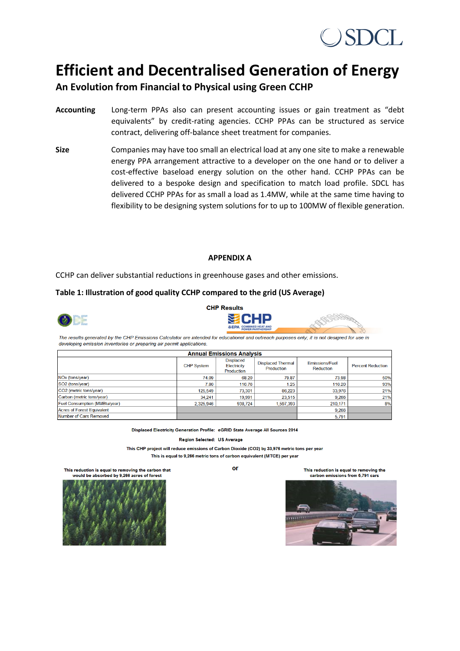

**An Evolution from Financial to Physical using Green CCHP**

- **Accounting** Long-term PPAs also can present accounting issues or gain treatment as "debt equivalents" by credit-rating agencies. CCHP PPAs can be structured as service contract, delivering off-balance sheet treatment for companies.
- **Size** Companies may have too small an electrical load at any one site to make a renewable energy PPA arrangement attractive to a developer on the one hand or to deliver a cost-effective baseload energy solution on the other hand. CCHP PPAs can be delivered to a bespoke design and specification to match load profile. SDCL has delivered CCHP PPAs for as small a load as 1.4MW, while at the same time having to flexibility to be designing system solutions for to up to 100MW of flexible generation.

#### **APPENDIX A**

CCHP can deliver substantial reductions in greenhouse gases and other emissions.

#### **Table 1: Illustration of good quality CCHP compared to the grid (US Average)**







The results generated by the CHP Emissions Calculator are intended for educational and outreach purposes only; it is not designed for use in developing emission inventories or preparing air permit applications.

| <b>Annual Emissions Analysis</b>  |                   |                                                      |                                        |                                           |                          |  |  |  |
|-----------------------------------|-------------------|------------------------------------------------------|----------------------------------------|-------------------------------------------|--------------------------|--|--|--|
|                                   | <b>CHP System</b> | <b>Displaced</b><br><b>Electricity</b><br>Production | <b>Displaced Thermal</b><br>Production | <b>Emissions/Fuel</b><br><b>Reduction</b> | <b>Percent Reduction</b> |  |  |  |
| NOx (tons/year)                   | 74.09             | 68.20                                                | 79.87                                  | 73.98                                     | 50%                      |  |  |  |
| SO2 (tons/year)                   | 7.80              | 116.76                                               | 1.25                                   | 110.20                                    | 93%                      |  |  |  |
| CO2 (metric tons/year)            | 125.549           | 73.301                                               | 86,223                                 | 33,976                                    | 21%                      |  |  |  |
| Carbon (metric tons/year)         | 34,241            | 19.991                                               | 23,515                                 | 9,266                                     | 21%                      |  |  |  |
| Fuel Consumption (MMBtu/year)     | 2,325,946         | 938,724                                              | 1,597,393                              | 210,171                                   | 8%                       |  |  |  |
| <b>Acres of Forest Equivalent</b> |                   |                                                      |                                        | 9,266                                     |                          |  |  |  |
| Number of Cars Removed            |                   |                                                      |                                        | 5,791                                     |                          |  |  |  |

#### Displaced Electricity Generation Profile: eGRID State Average All Sources 2014

**Region Selected: US Average** 

This CHP project will reduce emissions of Carbon Dioxide (CO2) by 33,976 metric tons per year This is equal to 9,266 metric tons of carbon equivalent (MTCE) per year

This reduction is equal to removing the carbon that would be absorbed by 9,266 acres of forest







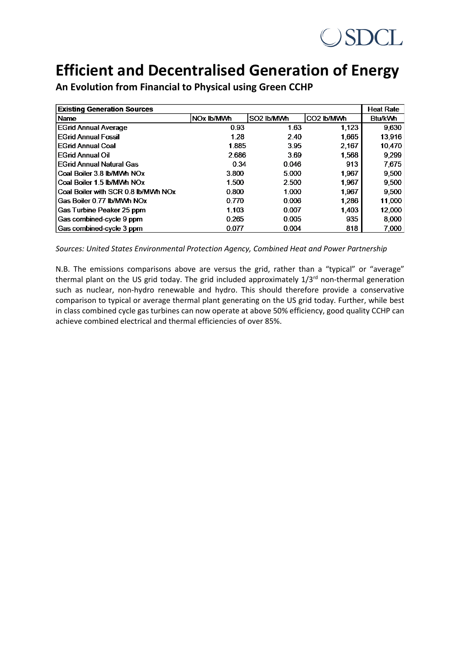

| <b>Existing Generation Sources</b>  |             |            |                        |                |  |  |
|-------------------------------------|-------------|------------|------------------------|----------------|--|--|
| Name                                | INOx Ib/MWh | SO2 Ib/MWh | CO <sub>2</sub> Ib/MWh | <b>Btu/kWh</b> |  |  |
| <b>EGrid Annual Average</b>         | 0.93        | 1.63       | 1,123                  | 9,630          |  |  |
| l EGrid Annual Fossil               | 1.28        | 2.40       | 1,665                  | 13,916         |  |  |
| l EGrid Annual Coal                 | 1.885       | 3.95       | 2,167                  | 10,470         |  |  |
| l FGrid Annual Oil                  | 2.686       | 3.69       | 1.568                  | 9,299          |  |  |
| l EGrid Annual Natural Gas          | 0.34        | 0.046      | 913                    | 7,675          |  |  |
| Coal Boiler 3.8 lb/MWh NOx          | 3.800       | 5.000      | 1,967                  | 9,500          |  |  |
| Coal Boiler 1.5 lb/MWh NOx          | 1.500       | 2.500      | 1,967                  | 9,500          |  |  |
| Coal Boiler with SCR 0.8 lb/MWh NOx | 0.800       | 1.000      | 1,967                  | 9,500          |  |  |
| Gas Boiler 0.77 lb/MWh NOx          | 0.770       | 0.006      | 1.286                  | 11,000         |  |  |
| Gas Turbine Peaker 25 ppm           | 1.103       | 0.007      | 1,403                  | 12,000         |  |  |
| Gas combined-cycle 9 ppm            | 0.265       | 0.005      | 935                    | 8,000          |  |  |
| Gas combined-cycle 3 ppm            | 0.077       | 0.004      | 818                    | 7,000          |  |  |

**An Evolution from Financial to Physical using Green CCHP**

*Sources: United States Environmental Protection Agency, Combined Heat and Power Partnership*

N.B. The emissions comparisons above are versus the grid, rather than a "typical" or "average" thermal plant on the US grid today. The grid included approximately  $1/3^{rd}$  non-thermal generation such as nuclear, non-hydro renewable and hydro. This should therefore provide a conservative comparison to typical or average thermal plant generating on the US grid today. Further, while best in class combined cycle gas turbines can now operate at above 50% efficiency, good quality CCHP can achieve combined electrical and thermal efficiencies of over 85%.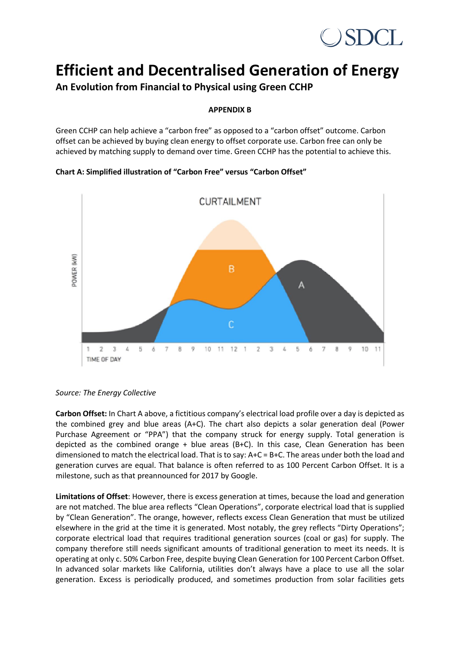

**An Evolution from Financial to Physical using Green CCHP**

### **APPENDIX B**

Green CCHP can help achieve a "carbon free" as opposed to a "carbon offset" outcome. Carbon offset can be achieved by buying clean energy to offset corporate use. Carbon free can only be achieved by matching supply to demand over time. Green CCHP has the potential to achieve this.

**Chart A: Simplified illustration of "Carbon Free" versus "Carbon Offset"**



### *Source: The Energy Collective*

**Carbon Offset:** In Chart A above, a fictitious company's electrical load profile over a day is depicted as the combined grey and blue areas (A+C). The chart also depicts a solar generation deal (Power Purchase Agreement or "PPA") that the company struck for energy supply. Total generation is depicted as the combined orange + blue areas (B+C). In this case, Clean Generation has been dimensioned to match the electrical load. That is to say: A+C = B+C. The areas under both the load and generation curves are equal. That balance is often referred to as 100 Percent Carbon Offset. It is a milestone, such as that preannounced for 2017 by Google.

**Limitations of Offset**: However, there is excess generation at times, because the load and generation are not matched. The blue area reflects "Clean Operations", corporate electrical load that is supplied by "Clean Generation". The orange, however, reflects excess Clean Generation that must be utilized elsewhere in the grid at the time it is generated. Most notably, the grey reflects "Dirty Operations"; corporate electrical load that requires traditional generation sources (coal or gas) for supply. The company therefore still needs significant amounts of traditional generation to meet its needs. It is operating at only c. 50% Carbon Free, despite buying Clean Generation for 100 Percent Carbon Offset. In advanced solar markets like California, utilities don't always have a place to use all the solar generation. Excess is periodically produced, and sometimes production from solar facilities gets